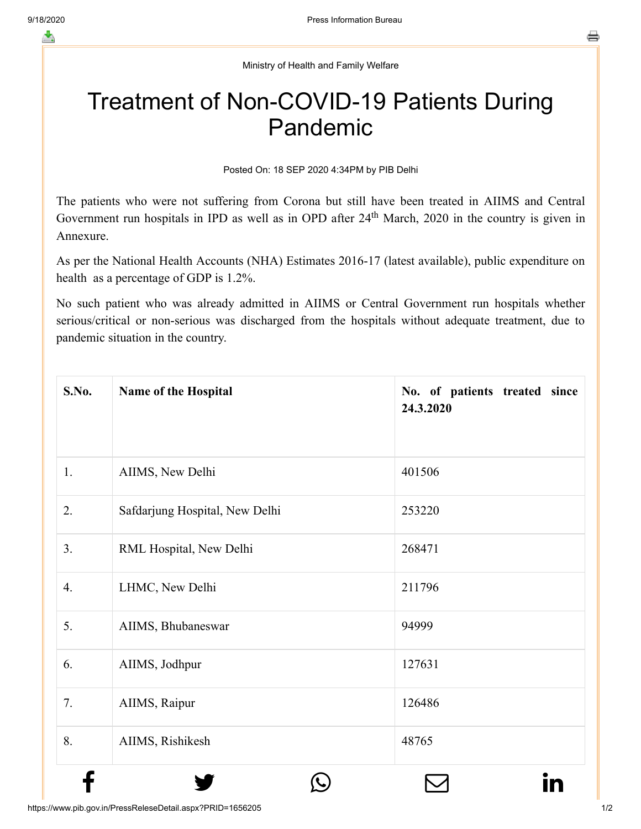Ministry of Health and Family Welfare

## Treatment of Non-COVID-19 Patients During Pandemic

Posted On: 18 SEP 2020 4:34PM by PIB Delhi

The patients who were not suffering from Corona but still have been treated in AIIMS and Central Government run hospitals in IPD as well as in OPD after  $24<sup>th</sup>$  March, 2020 in the country is given in Annexure.

As per the National Health Accounts (NHA) Estimates 2016-17 (latest available), public expenditure on health as a percentage of GDP is 1.2%.

No such patient who was already admitted in AIIMS or Central Government run hospitals whether serious/critical or non-serious was discharged from the hospitals without adequate treatment, due to pandemic situation in the country.

| <b>S.No.</b> | Name of the Hospital           | No. of patients treated since<br>24.3.2020 |
|--------------|--------------------------------|--------------------------------------------|
| 1.           | AIIMS, New Delhi               | 401506                                     |
| 2.           | Safdarjung Hospital, New Delhi | 253220                                     |
| 3.           | RML Hospital, New Delhi        | 268471                                     |
| 4.           | LHMC, New Delhi                | 211796                                     |
| 5.           | AIIMS, Bhubaneswar             | 94999                                      |
| 6.           | AIIMS, Jodhpur                 | 127631                                     |
| 7.           | AIIMS, Raipur                  | 126486                                     |
| 8.           | AIIMS, Rishikesh               | 48765                                      |
|              |                                |                                            |